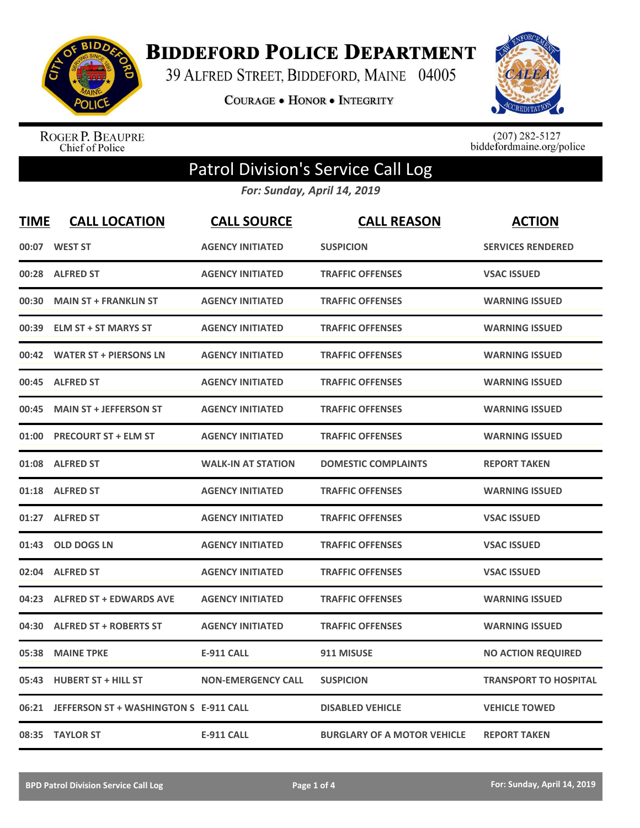

**BIDDEFORD POLICE DEPARTMENT** 

39 ALFRED STREET, BIDDEFORD, MAINE 04005

**COURAGE . HONOR . INTEGRITY** 



ROGER P. BEAUPRE<br>Chief of Police

 $(207)$  282-5127<br>biddefordmaine.org/police

## Patrol Division's Service Call Log

*For: Sunday, April 14, 2019*

| <b>TIME</b> | <b>CALL LOCATION</b>                   | <b>CALL SOURCE</b>        | <b>CALL REASON</b>                 | <b>ACTION</b>                |
|-------------|----------------------------------------|---------------------------|------------------------------------|------------------------------|
| 00:07       | <b>WEST ST</b>                         | <b>AGENCY INITIATED</b>   | <b>SUSPICION</b>                   | <b>SERVICES RENDERED</b>     |
| 00:28       | <b>ALFRED ST</b>                       | <b>AGENCY INITIATED</b>   | <b>TRAFFIC OFFENSES</b>            | <b>VSAC ISSUED</b>           |
| 00:30       | <b>MAIN ST + FRANKLIN ST</b>           | <b>AGENCY INITIATED</b>   | <b>TRAFFIC OFFENSES</b>            | <b>WARNING ISSUED</b>        |
| 00:39       | <b>ELM ST + ST MARYS ST</b>            | <b>AGENCY INITIATED</b>   | <b>TRAFFIC OFFENSES</b>            | <b>WARNING ISSUED</b>        |
| 00:42       | <b>WATER ST + PIERSONS LN</b>          | <b>AGENCY INITIATED</b>   | <b>TRAFFIC OFFENSES</b>            | <b>WARNING ISSUED</b>        |
| 00:45       | <b>ALFRED ST</b>                       | <b>AGENCY INITIATED</b>   | <b>TRAFFIC OFFENSES</b>            | <b>WARNING ISSUED</b>        |
| 00:45       | <b>MAIN ST + JEFFERSON ST</b>          | <b>AGENCY INITIATED</b>   | <b>TRAFFIC OFFENSES</b>            | <b>WARNING ISSUED</b>        |
| 01:00       | <b>PRECOURT ST + ELM ST</b>            | <b>AGENCY INITIATED</b>   | <b>TRAFFIC OFFENSES</b>            | <b>WARNING ISSUED</b>        |
| 01:08       | <b>ALFRED ST</b>                       | <b>WALK-IN AT STATION</b> | <b>DOMESTIC COMPLAINTS</b>         | <b>REPORT TAKEN</b>          |
| 01:18       | <b>ALFRED ST</b>                       | <b>AGENCY INITIATED</b>   | <b>TRAFFIC OFFENSES</b>            | <b>WARNING ISSUED</b>        |
| 01:27       | <b>ALFRED ST</b>                       | <b>AGENCY INITIATED</b>   | <b>TRAFFIC OFFENSES</b>            | <b>VSAC ISSUED</b>           |
| 01:43       | <b>OLD DOGS LN</b>                     | <b>AGENCY INITIATED</b>   | <b>TRAFFIC OFFENSES</b>            | <b>VSAC ISSUED</b>           |
| 02:04       | <b>ALFRED ST</b>                       | <b>AGENCY INITIATED</b>   | <b>TRAFFIC OFFENSES</b>            | <b>VSAC ISSUED</b>           |
| 04:23       | <b>ALFRED ST + EDWARDS AVE</b>         | <b>AGENCY INITIATED</b>   | <b>TRAFFIC OFFENSES</b>            | <b>WARNING ISSUED</b>        |
| 04:30       | <b>ALFRED ST + ROBERTS ST</b>          | <b>AGENCY INITIATED</b>   | <b>TRAFFIC OFFENSES</b>            | <b>WARNING ISSUED</b>        |
| 05:38       | <b>MAINE TPKE</b>                      | <b>E-911 CALL</b>         | 911 MISUSE                         | <b>NO ACTION REQUIRED</b>    |
| 05:43       | <b>HUBERT ST + HILL ST</b>             | <b>NON-EMERGENCY CALL</b> | <b>SUSPICION</b>                   | <b>TRANSPORT TO HOSPITAL</b> |
| 06:21       | JEFFERSON ST + WASHINGTON S E-911 CALL |                           | <b>DISABLED VEHICLE</b>            | <b>VEHICLE TOWED</b>         |
|             | 08:35 TAYLOR ST                        | <b>E-911 CALL</b>         | <b>BURGLARY OF A MOTOR VEHICLE</b> | <b>REPORT TAKEN</b>          |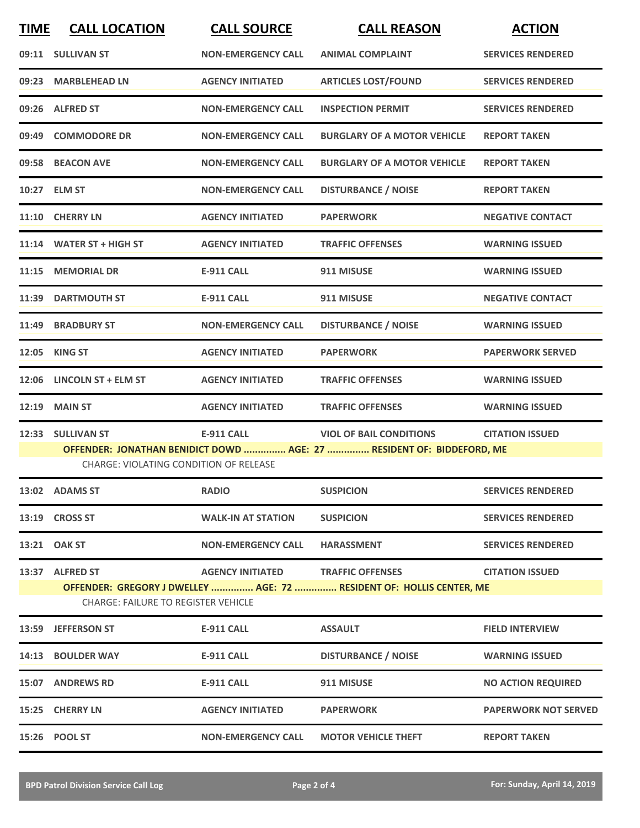| <b>TIME</b> | <b>CALL LOCATION</b>                          | <b>CALL SOURCE</b>                | <b>CALL REASON</b>                                                    | <b>ACTION</b>               |
|-------------|-----------------------------------------------|-----------------------------------|-----------------------------------------------------------------------|-----------------------------|
|             | 09:11 SULLIVAN ST                             | <b>NON-EMERGENCY CALL</b>         | <b>ANIMAL COMPLAINT</b>                                               | <b>SERVICES RENDERED</b>    |
|             | 09:23 MARBLEHEAD LN                           | <b>AGENCY INITIATED</b>           | <b>ARTICLES LOST/FOUND</b>                                            | <b>SERVICES RENDERED</b>    |
|             | 09:26 ALFRED ST                               | <b>NON-EMERGENCY CALL</b>         | <b>INSPECTION PERMIT</b>                                              | <b>SERVICES RENDERED</b>    |
|             | 09:49 COMMODORE DR                            | <b>NON-EMERGENCY CALL</b>         | <b>BURGLARY OF A MOTOR VEHICLE</b>                                    | <b>REPORT TAKEN</b>         |
|             | 09:58 BEACON AVE                              | <b>NON-EMERGENCY CALL</b>         | <b>BURGLARY OF A MOTOR VEHICLE</b>                                    | <b>REPORT TAKEN</b>         |
|             | 10:27 ELM ST                                  | <b>NON-EMERGENCY CALL</b>         | <b>DISTURBANCE / NOISE</b>                                            | <b>REPORT TAKEN</b>         |
|             | 11:10 CHERRY LN                               | <b>AGENCY INITIATED</b>           | <b>PAPERWORK</b>                                                      | <b>NEGATIVE CONTACT</b>     |
|             | 11:14 WATER ST + HIGH ST                      | <b>AGENCY INITIATED</b>           | <b>TRAFFIC OFFENSES</b>                                               | <b>WARNING ISSUED</b>       |
|             | 11:15 MEMORIAL DR                             | <b>E-911 CALL</b>                 | 911 MISUSE                                                            | <b>WARNING ISSUED</b>       |
|             | 11:39 DARTMOUTH ST                            | <b>E-911 CALL</b>                 | 911 MISUSE                                                            | <b>NEGATIVE CONTACT</b>     |
|             | 11:49 BRADBURY ST                             | <b>NON-EMERGENCY CALL</b>         | <b>DISTURBANCE / NOISE</b>                                            | <b>WARNING ISSUED</b>       |
|             | 12:05 KING ST                                 | <b>AGENCY INITIATED</b>           | <b>PAPERWORK</b>                                                      | <b>PAPERWORK SERVED</b>     |
|             | 12:06 LINCOLN ST + ELM ST                     | <b>AGENCY INITIATED</b>           | <b>TRAFFIC OFFENSES</b>                                               | <b>WARNING ISSUED</b>       |
|             | <b>12:19 MAIN ST</b>                          | <b>AGENCY INITIATED</b>           | <b>TRAFFIC OFFENSES</b>                                               | <b>WARNING ISSUED</b>       |
|             | 12:33 SULLIVAN ST                             | <b>E-911 CALL</b>                 | <b>VIOL OF BAIL CONDITIONS</b>                                        | <b>CITATION ISSUED</b>      |
|             | <b>CHARGE: VIOLATING CONDITION OF RELEASE</b> |                                   | OFFENDER: JONATHAN BENIDICT DOWD  AGE: 27  RESIDENT OF: BIDDEFORD, ME |                             |
|             | 13:02 ADAMS ST                                | <b>RADIO</b>                      | <b>SUSPICION</b>                                                      | <b>SERVICES RENDERED</b>    |
|             | 13:19 CROSS ST                                | <b>WALK-IN AT STATION</b>         | <b>SUSPICION</b>                                                      | <b>SERVICES RENDERED</b>    |
|             | 13:21 OAK ST                                  | <b>NON-EMERGENCY CALL</b>         | <b>HARASSMENT</b>                                                     | <b>SERVICES RENDERED</b>    |
|             | 13:37 ALFRED ST                               | AGENCY INITIATED TRAFFIC OFFENSES |                                                                       | <b>CITATION ISSUED</b>      |
|             | <b>CHARGE: FAILURE TO REGISTER VEHICLE</b>    |                                   | OFFENDER: GREGORY J DWELLEY  AGE: 72  RESIDENT OF: HOLLIS CENTER, ME  |                             |
|             | 13:59 JEFFERSON ST                            | E-911 CALL                        | <b>ASSAULT</b>                                                        | <b>FIELD INTERVIEW</b>      |
|             | 14:13 BOULDER WAY                             | E-911 CALL                        | <b>DISTURBANCE / NOISE</b>                                            | <b>WARNING ISSUED</b>       |
|             | 15:07 ANDREWS RD                              | <b>E-911 CALL</b>                 | 911 MISUSE                                                            | <b>NO ACTION REQUIRED</b>   |
|             | 15:25 CHERRY LN                               | <b>AGENCY INITIATED</b>           | <b>PAPERWORK</b>                                                      | <b>PAPERWORK NOT SERVED</b> |
|             | 15:26 POOL ST                                 | <b>NON-EMERGENCY CALL</b>         | <b>MOTOR VEHICLE THEFT</b>                                            | <b>REPORT TAKEN</b>         |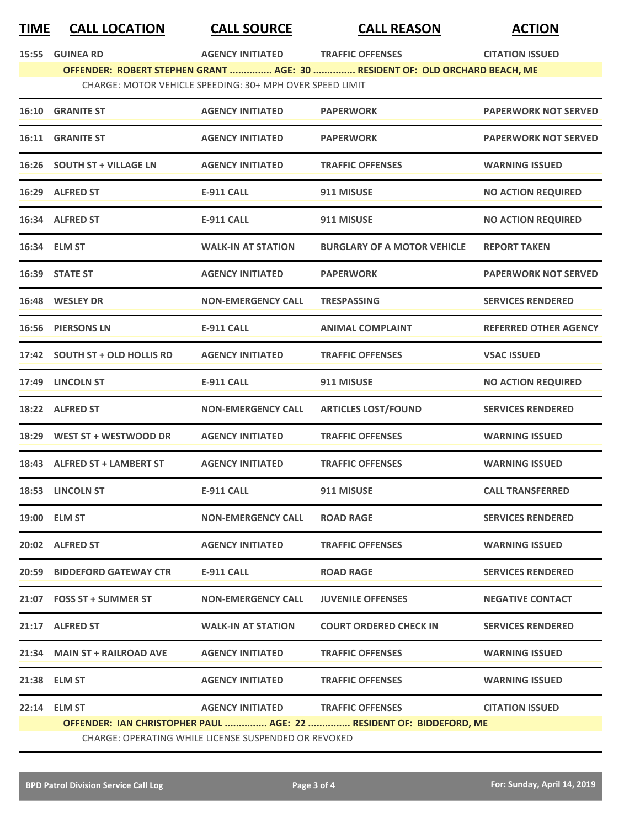## **TIME CALL LOCATION CALL SOURCE CALL REASON ACTION**

**15:55 GUINEA RD AGENCY INITIATED TRAFFIC OFFENSES CITATION ISSUED**

**OFFENDER: ROBERT STEPHEN GRANT ............... AGE: 30 ............... RESIDENT OF: OLD ORCHARD BEACH, ME** CHARGE: MOTOR VEHICLE SPEEDING: 30+ MPH OVER SPEED LIMIT

|       | 16:10 GRANITE ST                                                    | <b>AGENCY INITIATED</b>   | <b>PAPERWORK</b>                   | <b>PAPERWORK NOT SERVED</b>  |  |  |
|-------|---------------------------------------------------------------------|---------------------------|------------------------------------|------------------------------|--|--|
|       | <b>16:11 GRANITE ST</b>                                             | <b>AGENCY INITIATED</b>   | <b>PAPERWORK</b>                   | <b>PAPERWORK NOT SERVED</b>  |  |  |
|       | 16:26 SOUTH ST + VILLAGE LN                                         | <b>AGENCY INITIATED</b>   | <b>TRAFFIC OFFENSES</b>            | <b>WARNING ISSUED</b>        |  |  |
|       | 16:29 ALFRED ST                                                     | <b>E-911 CALL</b>         | 911 MISUSE                         | <b>NO ACTION REQUIRED</b>    |  |  |
|       | 16:34 ALFRED ST                                                     | <b>E-911 CALL</b>         | 911 MISUSE                         | <b>NO ACTION REQUIRED</b>    |  |  |
|       | 16:34 ELM ST                                                        | <b>WALK-IN AT STATION</b> | <b>BURGLARY OF A MOTOR VEHICLE</b> | <b>REPORT TAKEN</b>          |  |  |
|       | 16:39 STATE ST                                                      | <b>AGENCY INITIATED</b>   | <b>PAPERWORK</b>                   | <b>PAPERWORK NOT SERVED</b>  |  |  |
|       | 16:48 WESLEY DR                                                     | <b>NON-EMERGENCY CALL</b> | <b>TRESPASSING</b>                 | <b>SERVICES RENDERED</b>     |  |  |
| 16:56 | <b>PIERSONS LN</b>                                                  | <b>E-911 CALL</b>         | <b>ANIMAL COMPLAINT</b>            | <b>REFERRED OTHER AGENCY</b> |  |  |
|       | 17:42 SOUTH ST + OLD HOLLIS RD                                      | <b>AGENCY INITIATED</b>   | <b>TRAFFIC OFFENSES</b>            | <b>VSAC ISSUED</b>           |  |  |
|       | 17:49 LINCOLN ST                                                    | <b>E-911 CALL</b>         | 911 MISUSE                         | <b>NO ACTION REQUIRED</b>    |  |  |
|       | 18:22 ALFRED ST                                                     | <b>NON-EMERGENCY CALL</b> | <b>ARTICLES LOST/FOUND</b>         | <b>SERVICES RENDERED</b>     |  |  |
| 18:29 | WEST ST + WESTWOOD DR                                               | <b>AGENCY INITIATED</b>   | <b>TRAFFIC OFFENSES</b>            | <b>WARNING ISSUED</b>        |  |  |
|       | 18:43 ALFRED ST + LAMBERT ST                                        | <b>AGENCY INITIATED</b>   | <b>TRAFFIC OFFENSES</b>            | <b>WARNING ISSUED</b>        |  |  |
|       | 18:53 LINCOLN ST                                                    | <b>E-911 CALL</b>         | 911 MISUSE                         | <b>CALL TRANSFERRED</b>      |  |  |
|       | 19:00 ELM ST                                                        | <b>NON-EMERGENCY CALL</b> | <b>ROAD RAGE</b>                   | <b>SERVICES RENDERED</b>     |  |  |
|       | 20:02 ALFRED ST                                                     | <b>AGENCY INITIATED</b>   | <b>TRAFFIC OFFENSES</b>            | <b>WARNING ISSUED</b>        |  |  |
|       | 20:59 BIDDEFORD GATEWAY CTR                                         | <b>E-911 CALL</b>         | <b>ROAD RAGE</b>                   | <b>SERVICES RENDERED</b>     |  |  |
|       | 21:07 FOSS ST + SUMMER ST                                           | <b>NON-EMERGENCY CALL</b> | <b>JUVENILE OFFENSES</b>           | <b>NEGATIVE CONTACT</b>      |  |  |
|       | 21:17 ALFRED ST                                                     | <b>WALK-IN AT STATION</b> | <b>COURT ORDERED CHECK IN</b>      | <b>SERVICES RENDERED</b>     |  |  |
|       | 21:34 MAIN ST + RAILROAD AVE                                        | <b>AGENCY INITIATED</b>   | <b>TRAFFIC OFFENSES</b>            | <b>WARNING ISSUED</b>        |  |  |
|       | 21:38 ELM ST                                                        | <b>AGENCY INITIATED</b>   | <b>TRAFFIC OFFENSES</b>            | <b>WARNING ISSUED</b>        |  |  |
|       | 22:14 ELM ST                                                        | <b>AGENCY INITIATED</b>   | <b>TRAFFIC OFFENSES</b>            | <b>CITATION ISSUED</b>       |  |  |
|       | OFFENDER: IAN CHRISTOPHER PAUL  AGE: 22  RESIDENT OF: BIDDEFORD, ME |                           |                                    |                              |  |  |
|       | <b>CHARGE: OPERATING WHILE LICENSE SUSPENDED OR REVOKED</b>         |                           |                                    |                              |  |  |